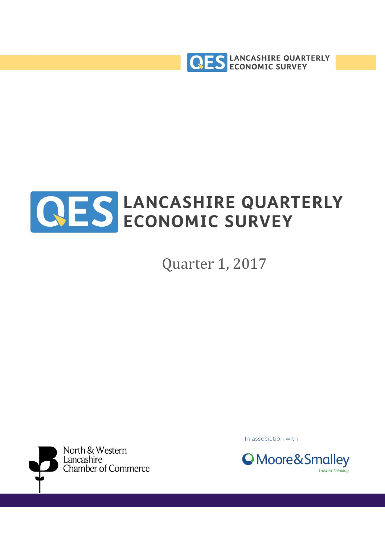



Quarter 1, 2017



In association with

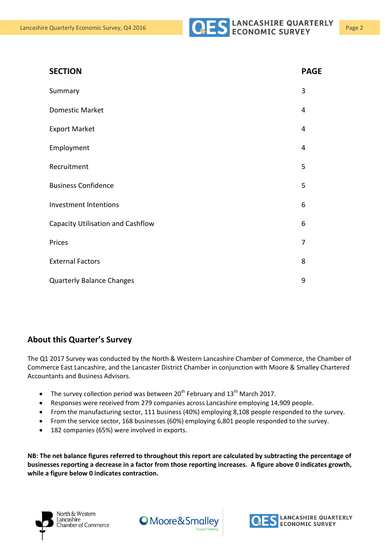

| <b>SECTION</b>                    | <b>PAGE</b> |
|-----------------------------------|-------------|
| Summary                           | 3           |
| <b>Domestic Market</b>            | 4           |
| <b>Export Market</b>              | 4           |
| Employment                        | 4           |
| Recruitment                       | 5           |
| <b>Business Confidence</b>        | 5           |
| Investment Intentions             | 6           |
| Capacity Utilisation and Cashflow | 6           |
| Prices                            | 7           |
| <b>External Factors</b>           | 8           |
| <b>Quarterly Balance Changes</b>  | 9           |

#### **About this Quarter's Survey**

The Q1 2017 Survey was conducted by the North & Western Lancashire Chamber of Commerce, the Chamber of Commerce East Lancashire, and the Lancaster District Chamber in conjunction with Moore & Smalley Chartered Accountants and Business Advisors.

- The survey collection period was between  $20<sup>th</sup>$  February and  $13<sup>th</sup>$  March 2017.
- Responses were received from 279 companies across Lancashire employing 14,909 people.
- From the manufacturing sector, 111 business (40%) employing 8,108 people responded to the survey.
- From the service sector, 168 businesses (60%) employing 6,801 people responded to the survey.
- 182 companies (65%) were involved in exports.

**NB: The net balance figures referred to throughout this report are calculated by subtracting the percentage of businesses reporting a decrease in a factor from those reporting increases. A figure above 0 indicates growth, while a figure below 0 indicates contraction.**





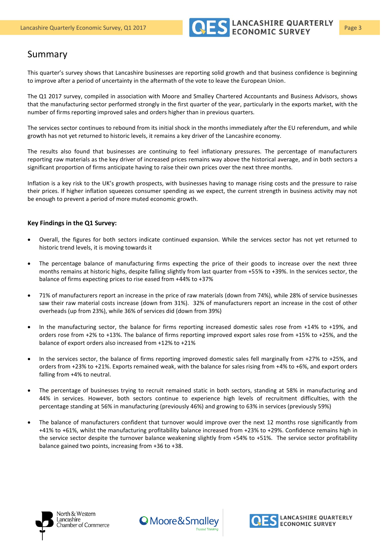

#### Summary

This quarter's survey shows that Lancashire businesses are reporting solid growth and that business confidence is beginning to improve after a period of uncertainty in the aftermath of the vote to leave the European Union.

The Q1 2017 survey, compiled in association with Moore and Smalley Chartered Accountants and Business Advisors, shows that the manufacturing sector performed strongly in the first quarter of the year, particularly in the exports market, with the number of firms reporting improved sales and orders higher than in previous quarters.

The services sector continues to rebound from its initial shock in the months immediately after the EU referendum, and while growth has not yet returned to historic levels, it remains a key driver of the Lancashire economy.

The results also found that businesses are continuing to feel inflationary pressures. The percentage of manufacturers reporting raw materials as the key driver of increased prices remains way above the historical average, and in both sectors a significant proportion of firms anticipate having to raise their own prices over the next three months.

Inflation is a key risk to the UK's growth prospects, with businesses having to manage rising costs and the pressure to raise their prices. If higher inflation squeezes consumer spending as we expect, the current strength in business activity may not be enough to prevent a period of more muted economic growth.

#### **Key Findings in the Q1 Survey:**

- Overall, the figures for both sectors indicate continued expansion. While the services sector has not yet returned to historic trend levels, it is moving towards it
- The percentage balance of manufacturing firms expecting the price of their goods to increase over the next three months remains at historic highs, despite falling slightly from last quarter from +55% to +39%. In the services sector, the balance of firms expecting prices to rise eased from +44% to +37%
- 71% of manufacturers report an increase in the price of raw materials (down from 74%), while 28% of service businesses saw their raw material costs increase (down from 31%). 32% of manufacturers report an increase in the cost of other overheads (up from 23%), while 36% of services did (down from 39%)
- In the manufacturing sector, the balance for firms reporting increased domestic sales rose from +14% to +19%, and orders rose from +2% to +13%. The balance of firms reporting improved export sales rose from +15% to +25%, and the balance of export orders also increased from +12% to +21%
- In the services sector, the balance of firms reporting improved domestic sales fell marginally from +27% to +25%, and orders from +23% to +21%. Exports remained weak, with the balance for sales rising from +4% to +6%, and export orders falling from +4% to neutral.
- The percentage of businesses trying to recruit remained static in both sectors, standing at 58% in manufacturing and 44% in services. However, both sectors continue to experience high levels of recruitment difficulties, with the percentage standing at 56% in manufacturing (previously 46%) and growing to 63% in services (previously 59%)
- The balance of manufacturers confident that turnover would improve over the next 12 months rose significantly from +41% to +61%, whilst the manufacturing profitability balance increased from +23% to +29%. Confidence remains high in the service sector despite the turnover balance weakening slightly from +54% to +51%. The service sector profitability balance gained two points, increasing from +36 to +38.





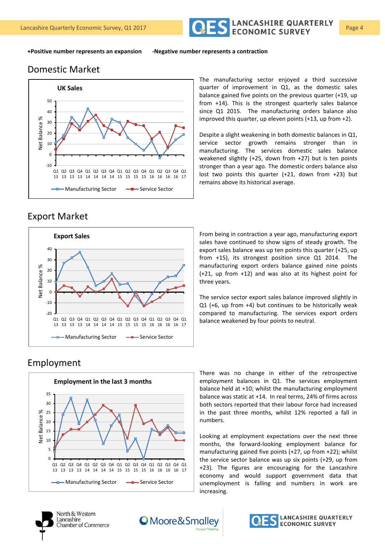

**+Positive number represents an expansion -Negative number represents a contraction**

#### Domestic Market



The manufacturing sector enjoyed a third successive quarter of improvement in Q1, as the domestic sales balance gained five points on the previous quarter (+19, up from +14). This is the strongest quarterly sales balance since Q1 2015. The manufacturing orders balance also improved this quarter, up eleven points (+13, up from +2).

Despite a slight weakening in both domestic balances in Q1, service sector growth remains stronger than in manufacturing. The services domestic sales balance weakened slightly (+25, down from +27) but is ten points stronger than a year ago. The domestic orders balance also lost two points this quarter (+21, down from +23) but remains above its historical average.

# Export Market



From being in contraction a year ago, manufacturing export sales have continued to show signs of steady growth. The export sales balance was up ten points this quarter (+25, up from +15), its strongest position since Q1 2014. The manufacturing export orders balance gained nine points (+21, up from +12) and was also at its highest point for three years.

The service sector export sales balance improved slightly in Q1 (+6, up from +4) but continues to be historically weak compared to manufacturing. The services export orders balance weakened by four points to neutral.

#### Employment



There was no change in either of the retrospective employment balances in Q1. The services employment balance held at +10; whilst the manufacturing employment balance was static at +14. In real terms, 24% of firms across both sectors reported that their labour force had increased in the past three months, whilst 12% reported a fall in numbers.

Looking at employment expectations over the next three months, the forward-looking employment balance for manufacturing gained five points (+27, up from +22); whilst the service sector balance was up six points (+29, up from +23). The figures are encouraging for the Lancashire economy and would support government data that unemployment is falling and numbers in work are increasing.



North & Western Lancashire Chamber of Commerce



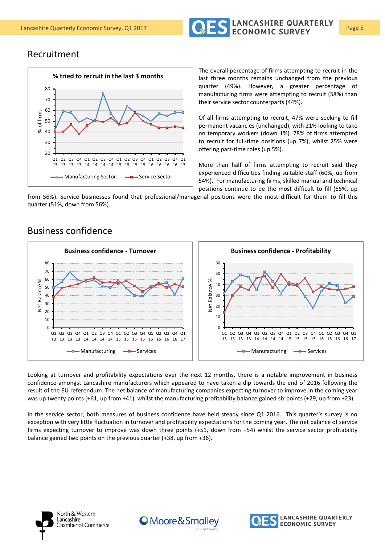

#### Recruitment



The overall percentage of firms attempting to recruit in the last three months remains unchanged from the previous quarter (49%). However, a greater percentage of manufacturing firms were attempting to recruit (58%) than their service sector counterparts (44%).

Of all firms attempting to recruit, 47% were seeking to fill permanent vacancies (unchanged), with 21% looking to take on temporary workers (down 1%). 78% of firms attempted to recruit for full-time positions (up 7%), whilst 25% were offering part-time roles (up 5%).

More than half of firms attempting to recruit said they experienced difficulties finding suitable staff (60%, up from 54%). For manufacturing firms, skilled manual and technical positions continue to be the most difficult to fill (65%, up

from 56%). Service businesses found that professional/managerial positions were the most difficult for them to fill this quarter (51%, down from 56%).

#### Business confidence



Looking at turnover and profitability expectations over the next 12 months, there is a notable improvement in business confidence amongst Lancashire manufacturers which appeared to have taken a dip towards the end of 2016 following the result of the EU referendum. The net balance of manufacturing companies expecting turnover to improve in the coming year was up twenty points (+61, up from +41), whilst the manufacturing profitability balance gained six points (+29, up from +23).

In the service sector, both measures of business confidence have held steady since Q1 2016. This quarter's survey is no exception with very little fluctuation in turnover and profitability expectations for the coming year. The net balance of service firms expecting turnover to improve was down three points (+51, down from +54) whilst the service sector profitability balance gained two points on the previous quarter (+38, up from +36).



North & Western Lancashire Chamber of Commerce



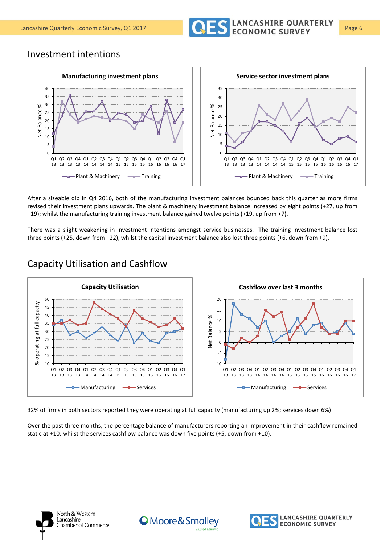

#### Investment intentions



After a sizeable dip in Q4 2016, both of the manufacturing investment balances bounced back this quarter as more firms revised their investment plans upwards. The plant & machinery investment balance increased by eight points (+27, up from +19); whilst the manufacturing training investment balance gained twelve points (+19, up from +7).

There was a slight weakening in investment intentions amongst service businesses. The training investment balance lost three points (+25, down from +22), whilst the capital investment balance also lost three points (+6, down from +9).



#### Capacity Utilisation and Cashflow

32% of firms in both sectors reported they were operating at full capacity (manufacturing up 2%; services down 6%)

Over the past three months, the percentage balance of manufacturers reporting an improvement in their cashflow remained static at +10; whilst the services cashflow balance was down five points (+5, down from +10).





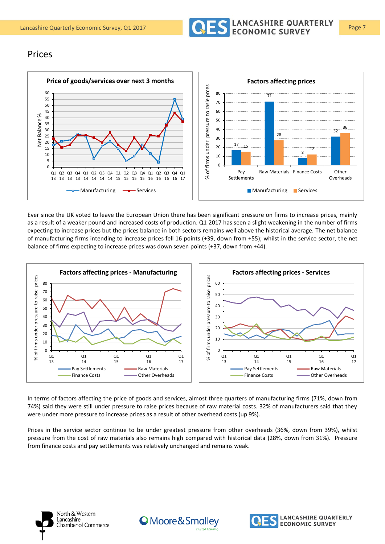

#### Prices



Ever since the UK voted to leave the European Union there has been significant pressure on firms to increase prices, mainly as a result of a weaker pound and increased costs of production. Q1 2017 has seen a slight weakening in the number of firms expecting to increase prices but the prices balance in both sectors remains well above the historical average. The net balance of manufacturing firms intending to increase prices fell 16 points (+39, down from +55); whilst in the service sector, the net balance of firms expecting to increase prices was down seven points (+37, down from +44).



In terms of factors affecting the price of goods and services, almost three quarters of manufacturing firms (71%, down from 74%) said they were still under pressure to raise prices because of raw material costs. 32% of manufacturers said that they were under more pressure to increase prices as a result of other overhead costs (up 9%).

Prices in the service sector continue to be under greatest pressure from other overheads (36%, down from 39%), whilst pressure from the cost of raw materials also remains high compared with historical data (28%, down from 31%). Pressure from finance costs and pay settlements was relatively unchanged and remains weak.





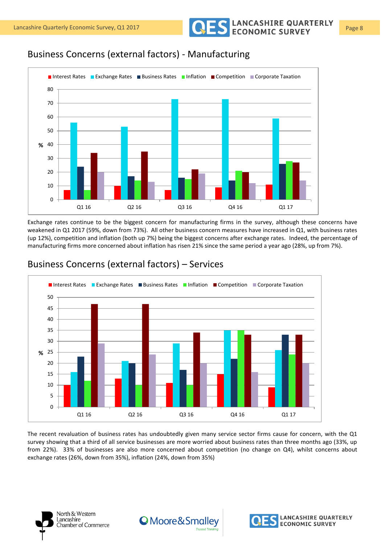Lancashire Quarterly Economic Survey, Q1 2017 **Page 8** CONOMIC SURVEY Page 8

## Business Concerns (external factors) - Manufacturing



Exchange rates continue to be the biggest concern for manufacturing firms in the survey, although these concerns have weakened in Q1 2017 (59%, down from 73%). All other business concern measures have increased in Q1, with business rates (up 12%), competition and inflation (both up 7%) being the biggest concerns after exchange rates. Indeed, the percentage of manufacturing firms more concerned about inflation has risen 21% since the same period a year ago (28%, up from 7%).



### Business Concerns (external factors) – Services

The recent revaluation of business rates has undoubtedly given many service sector firms cause for concern, with the Q1 survey showing that a third of all service businesses are more worried about business rates than three months ago (33%, up from 22%). 33% of businesses are also more concerned about competition (no change on Q4), whilst concerns about exchange rates (26%, down from 35%), inflation (24%, down from 35%)

![](_page_7_Picture_9.jpeg)

![](_page_7_Picture_11.jpeg)

![](_page_7_Picture_12.jpeg)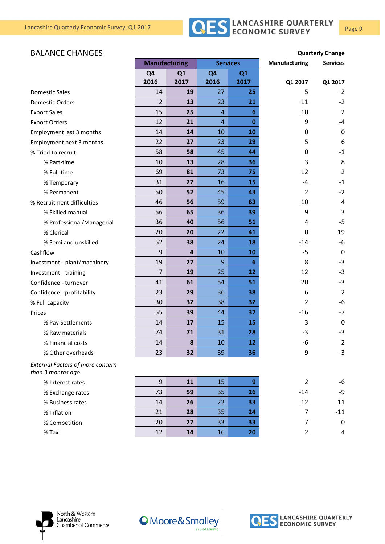![](_page_8_Picture_1.jpeg)

#### **BALANCE CHANGES Quarterly Change**

|                                                              | <b>Manufacturing</b> |                         | <b>Services</b> |          | Manufacturing  | <b>Services</b> |
|--------------------------------------------------------------|----------------------|-------------------------|-----------------|----------|----------------|-----------------|
|                                                              | Q <sub>4</sub>       | Q1                      | Q <sub>4</sub>  | Q1       |                |                 |
|                                                              | 2016                 | 2017                    | 2016            | 2017     | Q1 2017        | Q1 2017         |
| <b>Domestic Sales</b>                                        | 14                   | 19                      | 27              | 25       | 5              | $-2$            |
| <b>Domestic Orders</b>                                       | 2                    | 13                      | 23              | 21       | 11             | $-2$            |
| <b>Export Sales</b>                                          | 15                   | 25                      | $\overline{4}$  | 6        | 10             | $\overline{2}$  |
| <b>Export Orders</b>                                         | 12                   | 21                      | $\overline{4}$  | $\bf{0}$ | 9              | $-4$            |
| Employment last 3 months                                     | 14                   | 14                      | 10              | 10       | 0              | $\mathbf{0}$    |
| Employment next 3 months                                     | 22                   | 27                      | 23              | 29       | 5              | 6               |
| % Tried to recruit                                           | 58                   | 58                      | 45              | 44       | 0              | $-1$            |
| % Part-time                                                  | 10                   | 13                      | 28              | 36       | 3              | 8               |
| % Full-time                                                  | 69                   | 81                      | 73              | 75       | 12             | 2               |
| % Temporary                                                  | 31                   | 27                      | 16              | 15       | $-4$           | $-1$            |
| % Permanent                                                  | 50                   | 52                      | 45              | 43       | $\overline{2}$ | $-2$            |
| % Recruitment difficulties                                   | 46                   | 56                      | 59              | 63       | 10             | 4               |
| % Skilled manual                                             | 56                   | 65                      | 36              | 39       | 9              | 3               |
| % Professional/Managerial                                    | 36                   | 40                      | 56              | 51       | 4              | $-5$            |
| % Clerical                                                   | 20                   | 20                      | 22              | 41       | 0              | 19              |
| % Semi and unskilled                                         | 52                   | 38                      | 24              | 18       | $-14$          | $-6$            |
| Cashflow                                                     | 9                    | $\overline{\mathbf{4}}$ | 10              | 10       | $-5$           | $\mathbf 0$     |
| Investment - plant/machinery                                 | 19                   | 27                      | 9               | 6        | 8              | $-3$            |
| Investment - training                                        | 7                    | 19                      | 25              | 22       | 12             | $-3$            |
| Confidence - turnover                                        | 41                   | 61                      | 54              | 51       | 20             | $-3$            |
| Confidence - profitability                                   | 23                   | 29                      | 36              | 38       | 6              | $\overline{2}$  |
| % Full capacity                                              | 30                   | 32                      | 38              | 32       | $\overline{2}$ | $-6$            |
| Prices                                                       | 55                   | 39                      | 44              | 37       | $-16$          | $-7$            |
| % Pay Settlements                                            | 14                   | 17                      | 15              | 15       | 3              | 0               |
| % Raw materials                                              | 74                   | 71                      | 31              | 28       | $-3$           | $-3$            |
| % Financial costs                                            | 14                   | 8                       | 10              | 12       | -6             | $\overline{2}$  |
| % Other overheads                                            | 23                   | 32                      | 39              | 36       | 9              | $-3$            |
| <b>External Factors of more concern</b><br>than 3 months ago |                      |                         |                 |          |                |                 |
| % Interest rates                                             | $9\,$                | 11                      | 15              | 9        | $\overline{2}$ | -6              |
| % Exchange rates                                             | 73                   | 59                      | 35              | 26       | $-14$          | -9              |
| % Business rates                                             | 14                   | 26                      | 22              | 33       | 12             | 11              |
| % Inflation                                                  | 21                   | 28                      | 35              | 24       | $\overline{7}$ | $-11$           |
| % Competition                                                | 20                   | 27                      | 33              | 33       | $\overline{7}$ | 0               |
| $%$ Tax                                                      | 12                   | 14                      | 16              | 20       | $\overline{2}$ | 4               |

![](_page_8_Picture_4.jpeg)

![](_page_8_Picture_6.jpeg)

![](_page_8_Picture_7.jpeg)